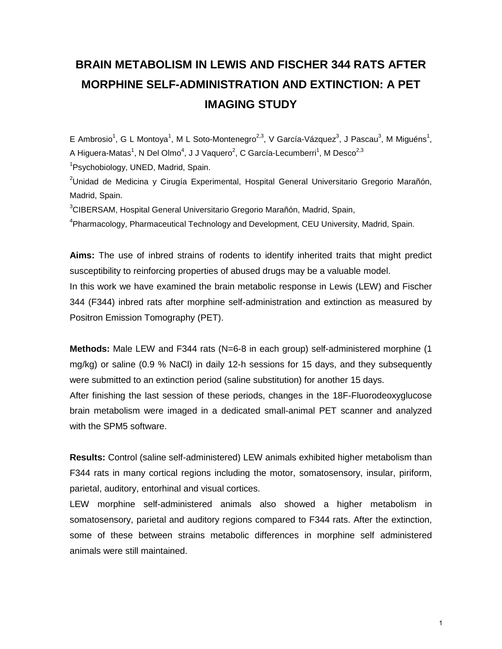## **BRAIN METABOLISM IN LEWIS AND FISCHER 344 RATS AFTER MORPHINE SELF-ADMINISTRATION AND EXTINCTION: A PET IMAGING STUDY**

E Ambrosio<sup>1</sup>, G L Montoya<sup>1</sup>, M L Soto-Montenegro<sup>2,3</sup>, V García-Vázquez<sup>3</sup>, J Pascau<sup>3</sup>, M Miguéns<sup>1</sup>, A Higuera-Matas<sup>1</sup>, N Del Olmo<sup>4</sup>, J J Vaquero<sup>2</sup>, C García-Lecumberri<sup>1</sup>, M Desco<sup>2,3</sup>

<sup>1</sup>Psychobiology, UNED, Madrid, Spain.

<sup>2</sup>Unidad de Medicina y Cirugía Experimental, Hospital General Universitario Gregorio Marañón, Madrid, Spain.

<sup>3</sup>CIBERSAM, Hospital General Universitario Gregorio Marañón, Madrid, Spain,

<sup>4</sup>Pharmacology, Pharmaceutical Technology and Development, CEU University, Madrid, Spain.

**Aims:** The use of inbred strains of rodents to identify inherited traits that might predict susceptibility to reinforcing properties of abused drugs may be a valuable model. In this work we have examined the brain metabolic response in Lewis (LEW) and Fischer 344 (F344) inbred rats after morphine self-administration and extinction as measured by Positron Emission Tomography (PET).

**Methods:** Male LEW and F344 rats (N=6-8 in each group) self-administered morphine (1 mg/kg) or saline (0.9 % NaCl) in daily 12-h sessions for 15 days, and they subsequently were submitted to an extinction period (saline substitution) for another 15 days.

After finishing the last session of these periods, changes in the 18F-Fluorodeoxyglucose brain metabolism were imaged in a dedicated small-animal PET scanner and analyzed with the SPM5 software.

**Results:** Control (saline self-administered) LEW animals exhibited higher metabolism than F344 rats in many cortical regions including the motor, somatosensory, insular, piriform, parietal, auditory, entorhinal and visual cortices.

LEW morphine self-administered animals also showed a higher metabolism in somatosensory, parietal and auditory regions compared to F344 rats. After the extinction, some of these between strains metabolic differences in morphine self administered animals were still maintained.